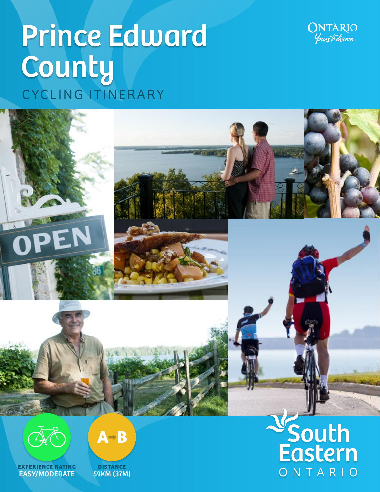

ONTARIO

# **Prince Edward** County CYCLING ITINERARY



**EXPERIENCE RATING** EASY/MODERATE



**DISTANCE** 59KM (37M)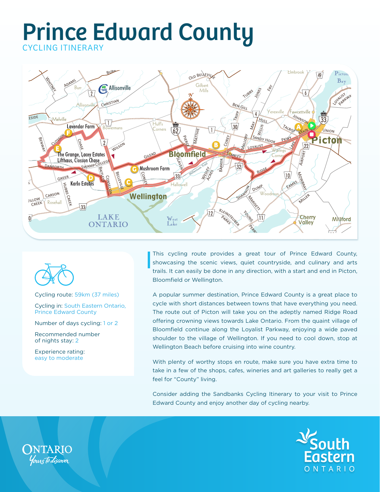



Cycling route: 59km (37 miles)

Cycling in: South Eastern Ontario, Prince Edward County

Number of days cycling: 1 or 2

Recommended number of nights stay: 2

Experience rating: easy to moderate

This cycling route provides a great tour of Prince Edward County, showcasing the scenic views, quiet countryside, and culinary and arts trails. It can easily be done in any direction, with a start and end in Picton, Bloomfield or Wellington.

A popular summer destination, Prince Edward County is a great place to cycle with short distances between towns that have everything you need. The route out of Picton will take you on the adeptly named Ridge Road offering crowning views towards Lake Ontario. From the quaint village of Bloomfield continue along the Loyalist Parkway, enjoying a wide paved shoulder to the village of Wellington. If you need to cool down, stop at Wellington Beach before cruising into wine country.

With plenty of worthy stops en route, make sure you have extra time to take in a few of the shops, cafes, wineries and art galleries to really get a feel for "County" living.

Consider adding the Sandbanks Cycling Itinerary to your visit to Prince Edward County and enjoy another day of cycling nearby.



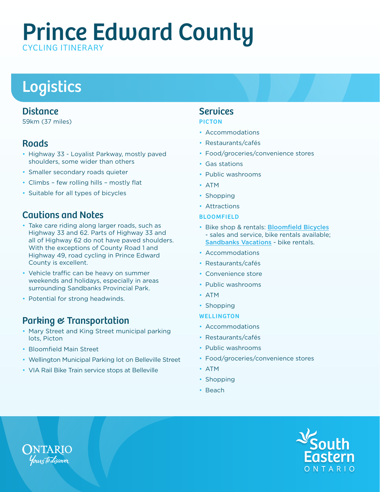# Logistics

### **Distance**

59km (37 miles)

### **Roads**

- Highway 33 Loyalist Parkway, mostly paved shoulders, some wider than others
- Smaller secondary roads quieter
- Climbs few rolling hills mostly flat
- Suitable for all types of bicycles

### Cautions and Notes

- Take care riding along larger roads, such as Highway 33 and 62. Parts of Highway 33 and all of Highway 62 do not have paved shoulders. With the exceptions of County Road 1 and Highway 49, road cycling in Prince Edward County is excellent.
- Vehicle traffic can be heavy on summer weekends and holidays, especially in areas surrounding Sandbanks Provincial Park.
- Potential for strong headwinds.

### Parking & Transportation

- Mary Street and King Street municipal parking lots, Picton
- Bloomfield Main Street
- Wellington Municipal Parking lot on Belleville Street
- VIA Rail Bike Train service stops at Belleville

### **Services**

#### PICTON

- Accommodations
- Restaurants/cafés
- Food/groceries/convenience stores
- Gas stations
- Public washrooms
- ATM
- Shopping
- Attractions

#### BLOOMFIELD

- Bike shop & rentals: [Bloomfield Bicycles](http://www.bloomfieldbicycle.ca/) - sales and service, bike rentals available; [Sandbanks Vacations](http://www.sandbanksvacations.com/) - bike rentals.
- Accommodations
- Restaurants/cafés
- Convenience store
- Public washrooms
- ATM
- Shopping
- WELLINGTON
- Accommodations
- Restaurants/cafés
- Public washrooms
- Food/groceries/convenience stores
- ATM
- Shopping
- Beach



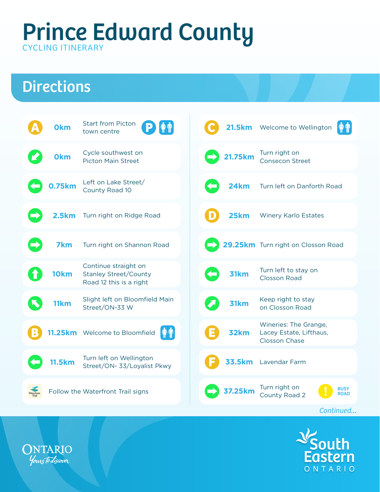# **Directions**





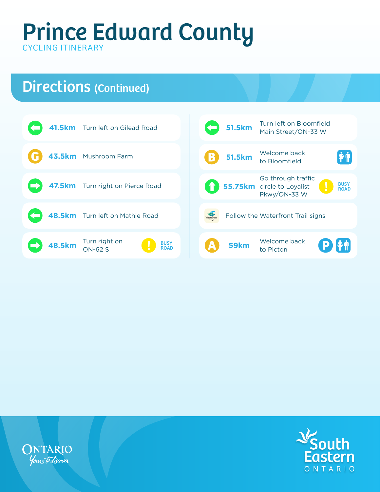# Directions (Continued)